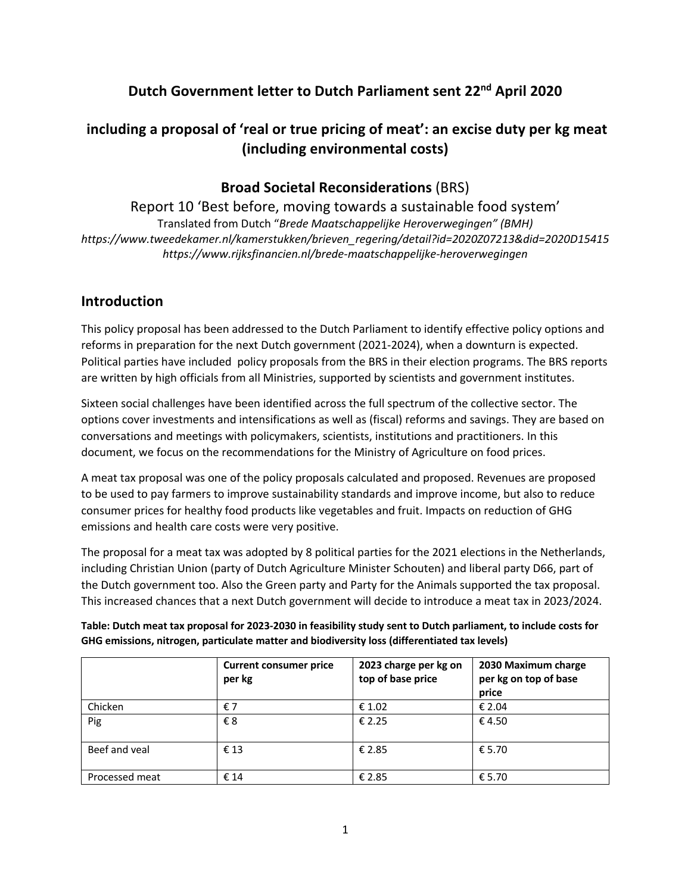# **Dutch Government letter to Dutch Parliament sent 22nd April 2020**

# **including a proposal of 'real or true pricing of meat': an excise duty per kg meat (including environmental costs)**

## **Broad Societal Reconsiderations** (BRS)

Report 10 'Best before, moving towards a sustainable food system' Translated from Dutch "*Brede Maatschappelijke Heroverwegingen" (BMH) https://www.tweedekamer.nl/kamerstukken/brieven\_regering/detail?id=2020Z07213&did=2020D15415 https://www.rijksfinancien.nl/brede-maatschappelijke-heroverwegingen*

## **Introduction**

This policy proposal has been addressed to the Dutch Parliament to identify effective policy options and reforms in preparation for the next Dutch government (2021-2024), when a downturn is expected. Political parties have included policy proposals from the BRS in their election programs. The BRS reports are written by high officials from all Ministries, supported by scientists and government institutes.

Sixteen social challenges have been identified across the full spectrum of the collective sector. The options cover investments and intensifications as well as (fiscal) reforms and savings. They are based on conversations and meetings with policymakers, scientists, institutions and practitioners. In this document, we focus on the recommendations for the Ministry of Agriculture on food prices.

A meat tax proposal was one of the policy proposals calculated and proposed. Revenues are proposed to be used to pay farmers to improve sustainability standards and improve income, but also to reduce consumer prices for healthy food products like vegetables and fruit. Impacts on reduction of GHG emissions and health care costs were very positive.

The proposal for a meat tax was adopted by 8 political parties for the 2021 elections in the Netherlands, including Christian Union (party of Dutch Agriculture Minister Schouten) and liberal party D66, part of the Dutch government too. Also the Green party and Party for the Animals supported the tax proposal. This increased chances that a next Dutch government will decide to introduce a meat tax in 2023/2024.

**Table: Dutch meat tax proposal for 2023-2030 in feasibility study sent to Dutch parliament, to include costs for GHG emissions, nitrogen, particulate matter and biodiversity loss (differentiated tax levels)**

|                | <b>Current consumer price</b><br>per kg | 2023 charge per kg on<br>top of base price | 2030 Maximum charge<br>per kg on top of base<br>price |
|----------------|-----------------------------------------|--------------------------------------------|-------------------------------------------------------|
| Chicken        | €7                                      | € 1.02                                     | € 2.04                                                |
| Pig            | €8                                      | € 2.25                                     | €4.50                                                 |
| Beef and yeal  | €13                                     | € 2.85                                     | € 5.70                                                |
| Processed meat | € 14                                    | € 2.85                                     | € 5.70                                                |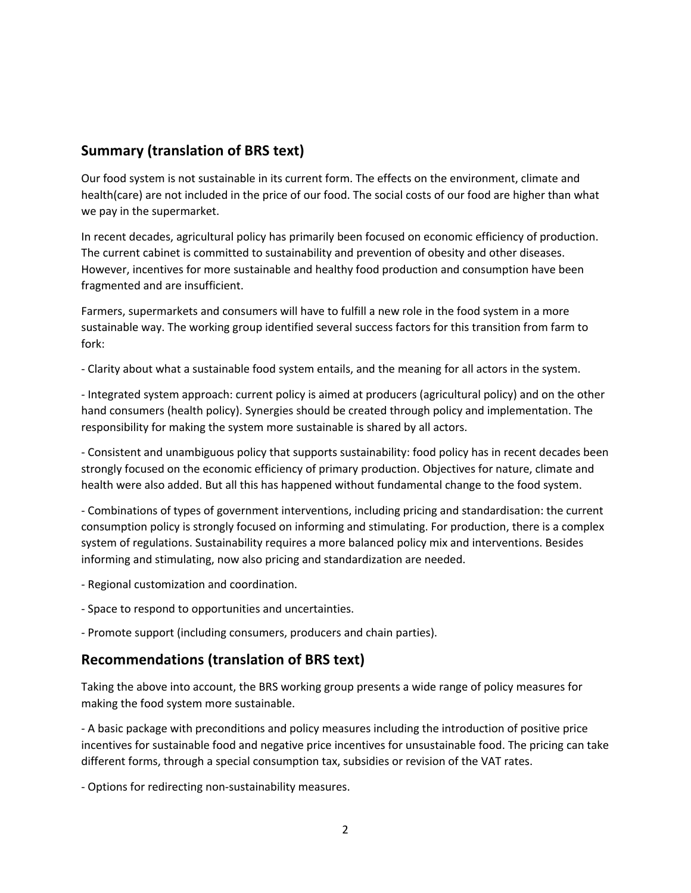## **Summary (translation of BRS text)**

Our food system is not sustainable in its current form. The effects on the environment, climate and health(care) are not included in the price of our food. The social costs of our food are higher than what we pay in the supermarket.

In recent decades, agricultural policy has primarily been focused on economic efficiency of production. The current cabinet is committed to sustainability and prevention of obesity and other diseases. However, incentives for more sustainable and healthy food production and consumption have been fragmented and are insufficient.

Farmers, supermarkets and consumers will have to fulfill a new role in the food system in a more sustainable way. The working group identified several success factors for this transition from farm to fork:

- Clarity about what a sustainable food system entails, and the meaning for all actors in the system.

- Integrated system approach: current policy is aimed at producers (agricultural policy) and on the other hand consumers (health policy). Synergies should be created through policy and implementation. The responsibility for making the system more sustainable is shared by all actors.

- Consistent and unambiguous policy that supports sustainability: food policy has in recent decades been strongly focused on the economic efficiency of primary production. Objectives for nature, climate and health were also added. But all this has happened without fundamental change to the food system.

- Combinations of types of government interventions, including pricing and standardisation: the current consumption policy is strongly focused on informing and stimulating. For production, there is a complex system of regulations. Sustainability requires a more balanced policy mix and interventions. Besides informing and stimulating, now also pricing and standardization are needed.

- Regional customization and coordination.

- Space to respond to opportunities and uncertainties.

- Promote support (including consumers, producers and chain parties).

# **Recommendations (translation of BRS text)**

Taking the above into account, the BRS working group presents a wide range of policy measures for making the food system more sustainable.

- A basic package with preconditions and policy measures including the introduction of positive price incentives for sustainable food and negative price incentives for unsustainable food. The pricing can take different forms, through a special consumption tax, subsidies or revision of the VAT rates.

- Options for redirecting non-sustainability measures.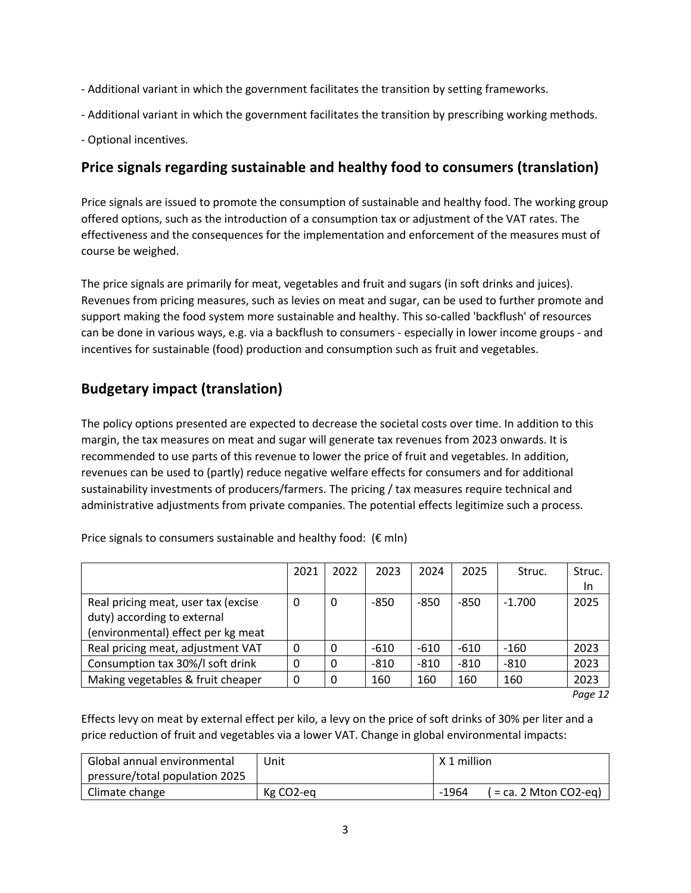- Additional variant in which the government facilitates the transition by setting frameworks.
- Additional variant in which the government facilitates the transition by prescribing working methods.
- Optional incentives.

## **Price signals regarding sustainable and healthy food to consumers (translation)**

Price signals are issued to promote the consumption of sustainable and healthy food. The working group offered options, such as the introduction of a consumption tax or adjustment of the VAT rates. The effectiveness and the consequences for the implementation and enforcement of the measures must of course be weighed.

The price signals are primarily for meat, vegetables and fruit and sugars (in soft drinks and juices). Revenues from pricing measures, such as levies on meat and sugar, can be used to further promote and support making the food system more sustainable and healthy. This so-called 'backflush' of resources can be done in various ways, e.g. via a backflush to consumers - especially in lower income groups - and incentives for sustainable (food) production and consumption such as fruit and vegetables.

# **Budgetary impact (translation)**

The policy options presented are expected to decrease the societal costs over time. In addition to this margin, the tax measures on meat and sugar will generate tax revenues from 2023 onwards. It is recommended to use parts of this revenue to lower the price of fruit and vegetables. In addition, revenues can be used to (partly) reduce negative welfare effects for consumers and for additional sustainability investments of producers/farmers. The pricing / tax measures require technical and administrative adjustments from private companies. The potential effects legitimize such a process.

|                                                                    | 2021 | 2022 | 2023   | 2024   | 2025   | Struc.   | Struc. |
|--------------------------------------------------------------------|------|------|--------|--------|--------|----------|--------|
|                                                                    |      |      |        |        |        |          | In     |
| Real pricing meat, user tax (excise<br>duty) according to external | 0    | 0    | $-850$ | $-850$ | $-850$ | $-1.700$ | 2025   |
| (environmental) effect per kg meat                                 |      |      |        |        |        |          |        |
| Real pricing meat, adjustment VAT                                  | 0    |      | $-610$ | $-610$ | $-610$ | $-160$   | 2023   |
| Consumption tax 30%/I soft drink                                   | 0    |      | $-810$ | $-810$ | $-810$ | $-810$   | 2023   |
| Making vegetables & fruit cheaper                                  | 0    |      | 160    | 160    | 160    | 160      | 2023   |

Price signals to consumers sustainable and healthy food:  $(E \text{ min})$ 

*Page 12* 

Effects levy on meat by external effect per kilo, a levy on the price of soft drinks of 30% per liter and a price reduction of fruit and vegetables via a lower VAT. Change in global environmental impacts:

| Global annual environmental    | Unit      | X 1 million                         |
|--------------------------------|-----------|-------------------------------------|
| pressure/total population 2025 |           |                                     |
| Climate change                 | Kg CO2-eg | $-1964$<br>$($ = ca. 2 Mton CO2-eq) |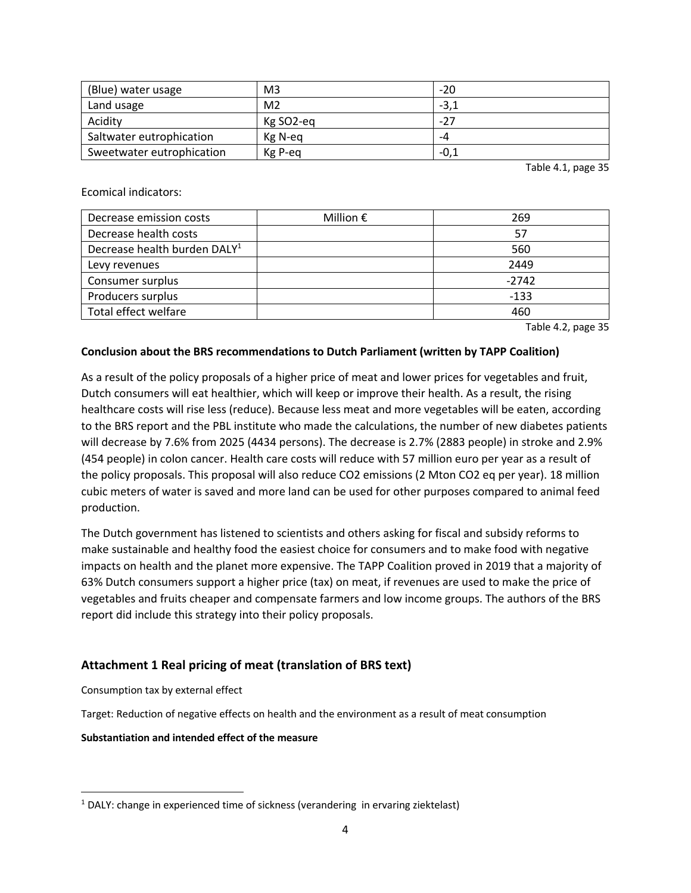| (Blue) water usage        | M <sub>3</sub> | $-20$  |
|---------------------------|----------------|--------|
| Land usage                | M <sub>2</sub> | $-3,1$ |
| Acidity                   | Kg SO2-eg      | $-27$  |
| Saltwater eutrophication  | Kg N-eg        | -4     |
| Sweetwater eutrophication | Kg P-eq        | -0,1   |

Table 4.1, page 35

## Ecomical indicators:

| Decrease emission costs                  | Million $\epsilon$ | 269     |
|------------------------------------------|--------------------|---------|
| Decrease health costs                    |                    | 57      |
| Decrease health burden DALY <sup>1</sup> |                    | 560     |
| Levy revenues                            |                    | 2449    |
| Consumer surplus                         |                    | $-2742$ |
| Producers surplus                        |                    | -133    |
| Total effect welfare                     |                    | 460     |

Table 4.2, page 35

## **Conclusion about the BRS recommendations to Dutch Parliament (written by TAPP Coalition)**

As a result of the policy proposals of a higher price of meat and lower prices for vegetables and fruit, Dutch consumers will eat healthier, which will keep or improve their health. As a result, the rising healthcare costs will rise less (reduce). Because less meat and more vegetables will be eaten, according to the BRS report and the PBL institute who made the calculations, the number of new diabetes patients will decrease by 7.6% from 2025 (4434 persons). The decrease is 2.7% (2883 people) in stroke and 2.9% (454 people) in colon cancer. Health care costs will reduce with 57 million euro per year as a result of the policy proposals. This proposal will also reduce CO2 emissions (2 Mton CO2 eq per year). 18 million cubic meters of water is saved and more land can be used for other purposes compared to animal feed production.

The Dutch government has listened to scientists and others asking for fiscal and subsidy reforms to make sustainable and healthy food the easiest choice for consumers and to make food with negative impacts on health and the planet more expensive. The TAPP Coalition proved in 2019 that a majority of 63% Dutch consumers support a higher price (tax) on meat, if revenues are used to make the price of vegetables and fruits cheaper and compensate farmers and low income groups. The authors of the BRS report did include this strategy into their policy proposals.

## **Attachment 1 Real pricing of meat (translation of BRS text)**

Consumption tax by external effect

Target: Reduction of negative effects on health and the environment as a result of meat consumption

**Substantiation and intended effect of the measure**

 $1$  DALY: change in experienced time of sickness (verandering in ervaring ziektelast)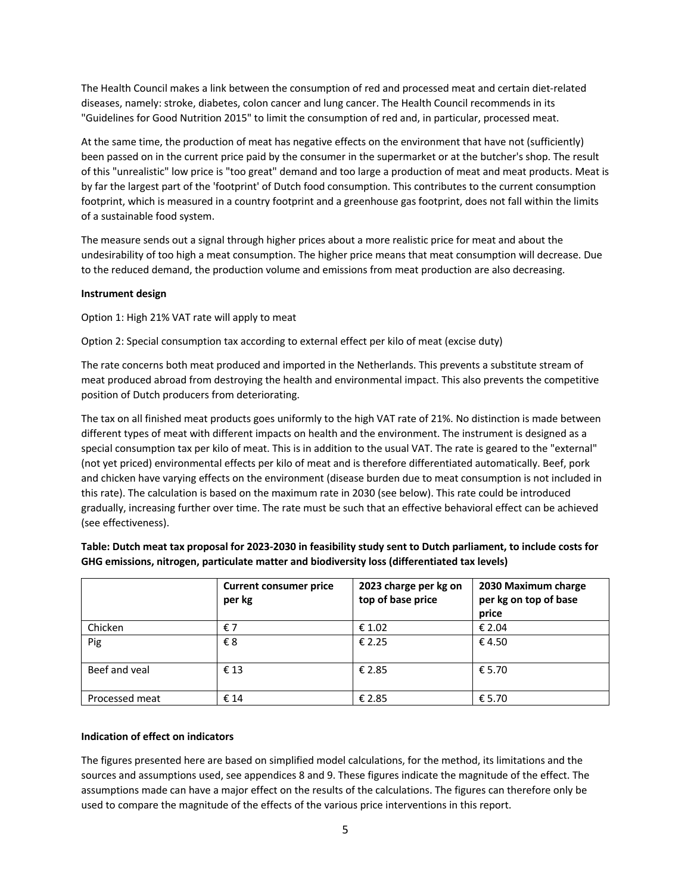The Health Council makes a link between the consumption of red and processed meat and certain diet-related diseases, namely: stroke, diabetes, colon cancer and lung cancer. The Health Council recommends in its "Guidelines for Good Nutrition 2015" to limit the consumption of red and, in particular, processed meat.

At the same time, the production of meat has negative effects on the environment that have not (sufficiently) been passed on in the current price paid by the consumer in the supermarket or at the butcher's shop. The result of this "unrealistic" low price is "too great" demand and too large a production of meat and meat products. Meat is by far the largest part of the 'footprint' of Dutch food consumption. This contributes to the current consumption footprint, which is measured in a country footprint and a greenhouse gas footprint, does not fall within the limits of a sustainable food system.

The measure sends out a signal through higher prices about a more realistic price for meat and about the undesirability of too high a meat consumption. The higher price means that meat consumption will decrease. Due to the reduced demand, the production volume and emissions from meat production are also decreasing.

## **Instrument design**

Option 1: High 21% VAT rate will apply to meat

Option 2: Special consumption tax according to external effect per kilo of meat (excise duty)

The rate concerns both meat produced and imported in the Netherlands. This prevents a substitute stream of meat produced abroad from destroying the health and environmental impact. This also prevents the competitive position of Dutch producers from deteriorating.

The tax on all finished meat products goes uniformly to the high VAT rate of 21%. No distinction is made between different types of meat with different impacts on health and the environment. The instrument is designed as a special consumption tax per kilo of meat. This is in addition to the usual VAT. The rate is geared to the "external" (not yet priced) environmental effects per kilo of meat and is therefore differentiated automatically. Beef, pork and chicken have varying effects on the environment (disease burden due to meat consumption is not included in this rate). The calculation is based on the maximum rate in 2030 (see below). This rate could be introduced gradually, increasing further over time. The rate must be such that an effective behavioral effect can be achieved (see effectiveness).

|                | <b>Current consumer price</b><br>per kg | 2023 charge per kg on<br>top of base price | 2030 Maximum charge<br>per kg on top of base<br>price |
|----------------|-----------------------------------------|--------------------------------------------|-------------------------------------------------------|
| Chicken        | €7                                      | € 1.02                                     | € 2.04                                                |
| Pig            | €8                                      | € 2.25                                     | € 4.50                                                |
| Beef and yeal  | €13                                     | € 2.85                                     | € 5.70                                                |
| Processed meat | € 14                                    | € 2.85                                     | € 5.70                                                |

**Table: Dutch meat tax proposal for 2023-2030 in feasibility study sent to Dutch parliament, to include costs for GHG emissions, nitrogen, particulate matter and biodiversity loss (differentiated tax levels)**

#### **Indication of effect on indicators**

The figures presented here are based on simplified model calculations, for the method, its limitations and the sources and assumptions used, see appendices 8 and 9. These figures indicate the magnitude of the effect. The assumptions made can have a major effect on the results of the calculations. The figures can therefore only be used to compare the magnitude of the effects of the various price interventions in this report.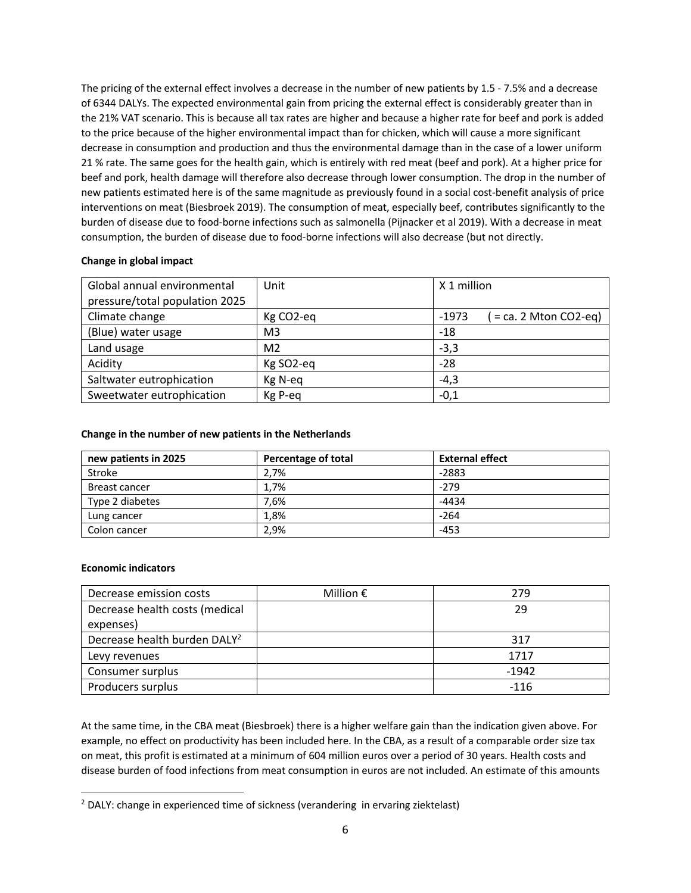The pricing of the external effect involves a decrease in the number of new patients by 1.5 - 7.5% and a decrease of 6344 DALYs. The expected environmental gain from pricing the external effect is considerably greater than in the 21% VAT scenario. This is because all tax rates are higher and because a higher rate for beef and pork is added to the price because of the higher environmental impact than for chicken, which will cause a more significant decrease in consumption and production and thus the environmental damage than in the case of a lower uniform 21 % rate. The same goes for the health gain, which is entirely with red meat (beef and pork). At a higher price for beef and pork, health damage will therefore also decrease through lower consumption. The drop in the number of new patients estimated here is of the same magnitude as previously found in a social cost-benefit analysis of price interventions on meat (Biesbroek 2019). The consumption of meat, especially beef, contributes significantly to the burden of disease due to food-borne infections such as salmonella (Pijnacker et al 2019). With a decrease in meat consumption, the burden of disease due to food-borne infections will also decrease (but not directly.

## **Change in global impact**

| Global annual environmental    | Unit           | X 1 million                       |
|--------------------------------|----------------|-----------------------------------|
| pressure/total population 2025 |                |                                   |
| Climate change                 | Kg CO2-eq      | $=$ ca. 2 Mton CO2-eq)<br>$-1973$ |
| (Blue) water usage             | M <sub>3</sub> | $-18$                             |
| Land usage                     | M <sub>2</sub> | $-3,3$                            |
| Acidity                        | Kg SO2-eq      | $-28$                             |
| Saltwater eutrophication       | Kg N-eq        | $-4,3$                            |
| Sweetwater eutrophication      | Kg P-eq        | $-0,1$                            |

## **Change in the number of new patients in the Netherlands**

| new patients in 2025 | Percentage of total | <b>External effect</b> |
|----------------------|---------------------|------------------------|
| Stroke               | 2.7%                | $-2883$                |
| Breast cancer        | 1.7%                | $-279$                 |
| Type 2 diabetes      | 7.6%                | $-4434$                |
| Lung cancer          | 1.8%                | $-264$                 |
| Colon cancer         | 2.9%                | -453                   |

## **Economic indicators**

| Decrease emission costs                  | Million $\epsilon$ | 279     |
|------------------------------------------|--------------------|---------|
| Decrease health costs (medical           |                    | 29      |
| expenses)                                |                    |         |
| Decrease health burden DALY <sup>2</sup> |                    | 317     |
| Levy revenues                            |                    | 1717    |
| Consumer surplus                         |                    | $-1942$ |
| Producers surplus                        |                    | $-116$  |

At the same time, in the CBA meat (Biesbroek) there is a higher welfare gain than the indication given above. For example, no effect on productivity has been included here. In the CBA, as a result of a comparable order size tax on meat, this profit is estimated at a minimum of 604 million euros over a period of 30 years. Health costs and disease burden of food infections from meat consumption in euros are not included. An estimate of this amounts

 $2$  DALY: change in experienced time of sickness (verandering in ervaring ziektelast)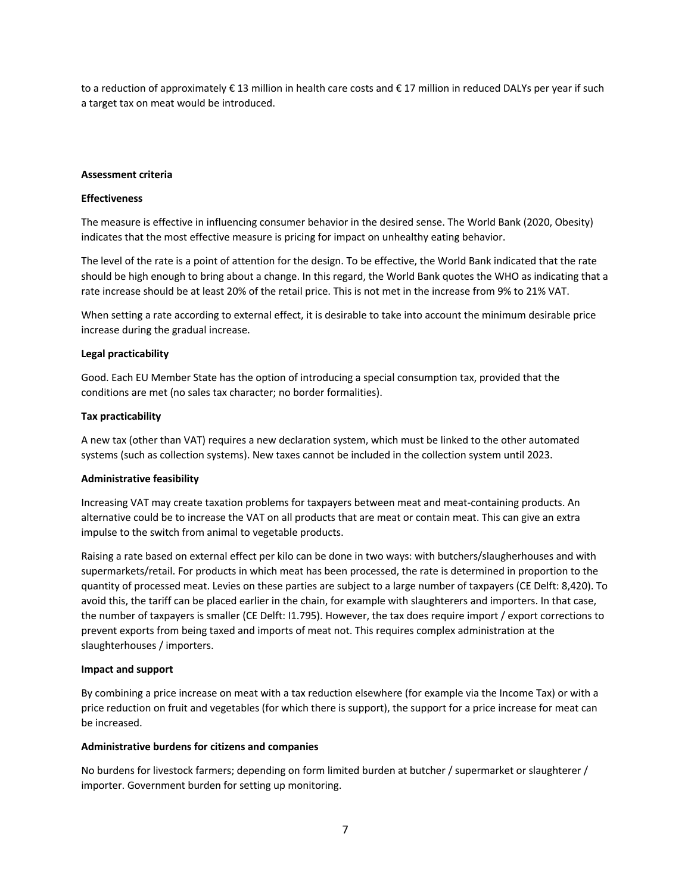to a reduction of approximately € 13 million in health care costs and € 17 million in reduced DALYs per year if such a target tax on meat would be introduced.

#### **Assessment criteria**

#### **Effectiveness**

The measure is effective in influencing consumer behavior in the desired sense. The World Bank (2020, Obesity) indicates that the most effective measure is pricing for impact on unhealthy eating behavior.

The level of the rate is a point of attention for the design. To be effective, the World Bank indicated that the rate should be high enough to bring about a change. In this regard, the World Bank quotes the WHO as indicating that a rate increase should be at least 20% of the retail price. This is not met in the increase from 9% to 21% VAT.

When setting a rate according to external effect, it is desirable to take into account the minimum desirable price increase during the gradual increase.

#### **Legal practicability**

Good. Each EU Member State has the option of introducing a special consumption tax, provided that the conditions are met (no sales tax character; no border formalities).

#### **Tax practicability**

A new tax (other than VAT) requires a new declaration system, which must be linked to the other automated systems (such as collection systems). New taxes cannot be included in the collection system until 2023.

#### **Administrative feasibility**

Increasing VAT may create taxation problems for taxpayers between meat and meat-containing products. An alternative could be to increase the VAT on all products that are meat or contain meat. This can give an extra impulse to the switch from animal to vegetable products.

Raising a rate based on external effect per kilo can be done in two ways: with butchers/slaugherhouses and with supermarkets/retail. For products in which meat has been processed, the rate is determined in proportion to the quantity of processed meat. Levies on these parties are subject to a large number of taxpayers (CE Delft: 8,420). To avoid this, the tariff can be placed earlier in the chain, for example with slaughterers and importers. In that case, the number of taxpayers is smaller (CE Delft: I1.795). However, the tax does require import / export corrections to prevent exports from being taxed and imports of meat not. This requires complex administration at the slaughterhouses / importers.

#### **Impact and support**

By combining a price increase on meat with a tax reduction elsewhere (for example via the Income Tax) or with a price reduction on fruit and vegetables (for which there is support), the support for a price increase for meat can be increased.

#### **Administrative burdens for citizens and companies**

No burdens for livestock farmers; depending on form limited burden at butcher / supermarket or slaughterer / importer. Government burden for setting up monitoring.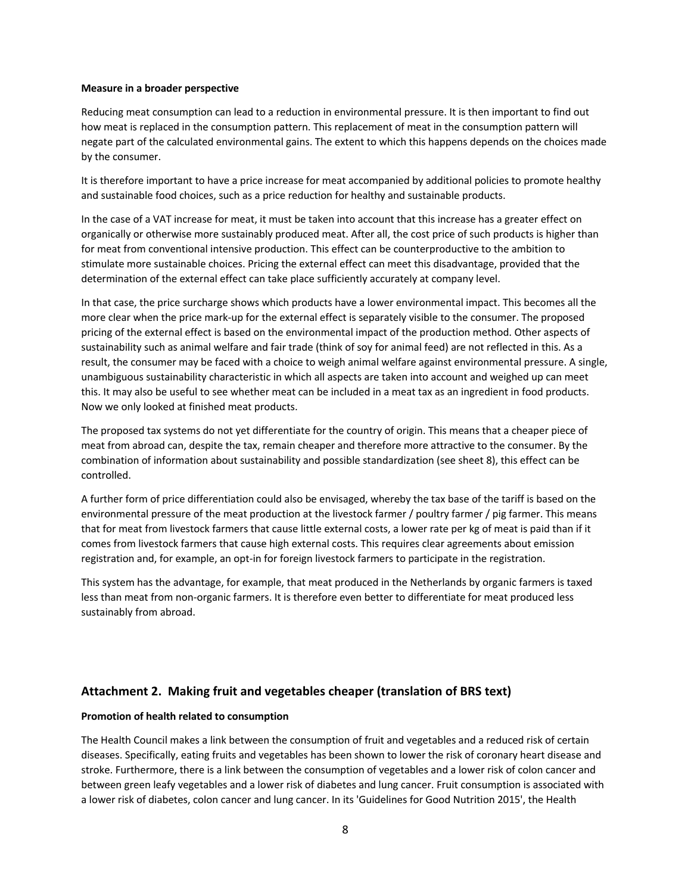#### **Measure in a broader perspective**

Reducing meat consumption can lead to a reduction in environmental pressure. It is then important to find out how meat is replaced in the consumption pattern. This replacement of meat in the consumption pattern will negate part of the calculated environmental gains. The extent to which this happens depends on the choices made by the consumer.

It is therefore important to have a price increase for meat accompanied by additional policies to promote healthy and sustainable food choices, such as a price reduction for healthy and sustainable products.

In the case of a VAT increase for meat, it must be taken into account that this increase has a greater effect on organically or otherwise more sustainably produced meat. After all, the cost price of such products is higher than for meat from conventional intensive production. This effect can be counterproductive to the ambition to stimulate more sustainable choices. Pricing the external effect can meet this disadvantage, provided that the determination of the external effect can take place sufficiently accurately at company level.

In that case, the price surcharge shows which products have a lower environmental impact. This becomes all the more clear when the price mark-up for the external effect is separately visible to the consumer. The proposed pricing of the external effect is based on the environmental impact of the production method. Other aspects of sustainability such as animal welfare and fair trade (think of soy for animal feed) are not reflected in this. As a result, the consumer may be faced with a choice to weigh animal welfare against environmental pressure. A single, unambiguous sustainability characteristic in which all aspects are taken into account and weighed up can meet this. It may also be useful to see whether meat can be included in a meat tax as an ingredient in food products. Now we only looked at finished meat products.

The proposed tax systems do not yet differentiate for the country of origin. This means that a cheaper piece of meat from abroad can, despite the tax, remain cheaper and therefore more attractive to the consumer. By the combination of information about sustainability and possible standardization (see sheet 8), this effect can be controlled.

A further form of price differentiation could also be envisaged, whereby the tax base of the tariff is based on the environmental pressure of the meat production at the livestock farmer / poultry farmer / pig farmer. This means that for meat from livestock farmers that cause little external costs, a lower rate per kg of meat is paid than if it comes from livestock farmers that cause high external costs. This requires clear agreements about emission registration and, for example, an opt-in for foreign livestock farmers to participate in the registration.

This system has the advantage, for example, that meat produced in the Netherlands by organic farmers is taxed less than meat from non-organic farmers. It is therefore even better to differentiate for meat produced less sustainably from abroad.

## **Attachment 2. Making fruit and vegetables cheaper (translation of BRS text)**

#### **Promotion of health related to consumption**

The Health Council makes a link between the consumption of fruit and vegetables and a reduced risk of certain diseases. Specifically, eating fruits and vegetables has been shown to lower the risk of coronary heart disease and stroke. Furthermore, there is a link between the consumption of vegetables and a lower risk of colon cancer and between green leafy vegetables and a lower risk of diabetes and lung cancer. Fruit consumption is associated with a lower risk of diabetes, colon cancer and lung cancer. In its 'Guidelines for Good Nutrition 2015', the Health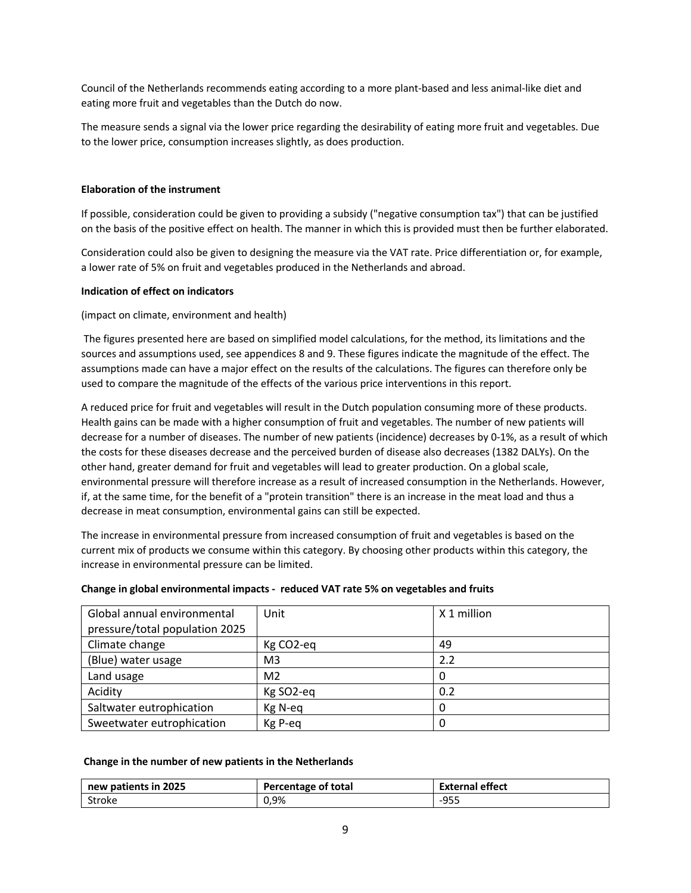Council of the Netherlands recommends eating according to a more plant-based and less animal-like diet and eating more fruit and vegetables than the Dutch do now.

The measure sends a signal via the lower price regarding the desirability of eating more fruit and vegetables. Due to the lower price, consumption increases slightly, as does production.

### **Elaboration of the instrument**

If possible, consideration could be given to providing a subsidy ("negative consumption tax") that can be justified on the basis of the positive effect on health. The manner in which this is provided must then be further elaborated.

Consideration could also be given to designing the measure via the VAT rate. Price differentiation or, for example, a lower rate of 5% on fruit and vegetables produced in the Netherlands and abroad.

#### **Indication of effect on indicators**

(impact on climate, environment and health)

The figures presented here are based on simplified model calculations, for the method, its limitations and the sources and assumptions used, see appendices 8 and 9. These figures indicate the magnitude of the effect. The assumptions made can have a major effect on the results of the calculations. The figures can therefore only be used to compare the magnitude of the effects of the various price interventions in this report.

A reduced price for fruit and vegetables will result in the Dutch population consuming more of these products. Health gains can be made with a higher consumption of fruit and vegetables. The number of new patients will decrease for a number of diseases. The number of new patients (incidence) decreases by 0-1%, as a result of which the costs for these diseases decrease and the perceived burden of disease also decreases (1382 DALYs). On the other hand, greater demand for fruit and vegetables will lead to greater production. On a global scale, environmental pressure will therefore increase as a result of increased consumption in the Netherlands. However, if, at the same time, for the benefit of a "protein transition" there is an increase in the meat load and thus a decrease in meat consumption, environmental gains can still be expected.

The increase in environmental pressure from increased consumption of fruit and vegetables is based on the current mix of products we consume within this category. By choosing other products within this category, the increase in environmental pressure can be limited.

| Global annual environmental    | Unit                  | X 1 million |
|--------------------------------|-----------------------|-------------|
| pressure/total population 2025 |                       |             |
| Climate change                 | Kg CO <sub>2-eq</sub> | 49          |
| (Blue) water usage             | M <sub>3</sub>        | 2.2         |
| Land usage                     | M <sub>2</sub>        | 0           |
| Acidity                        | Kg SO2-eq             | 0.2         |
| Saltwater eutrophication       | Kg N-eq               | 0           |
| Sweetwater eutrophication      | Kg P-eg               | 0           |

#### **Change in global environmental impacts - reduced VAT rate 5% on vegetables and fruits**

#### **Change in the number of new patients in the Netherlands**

| new patients in 2025 | Percentage of total | ternal effect<br>ו אנכו |
|----------------------|---------------------|-------------------------|
| Stroke               | 0,9%                | LQ5F<br>JJJ             |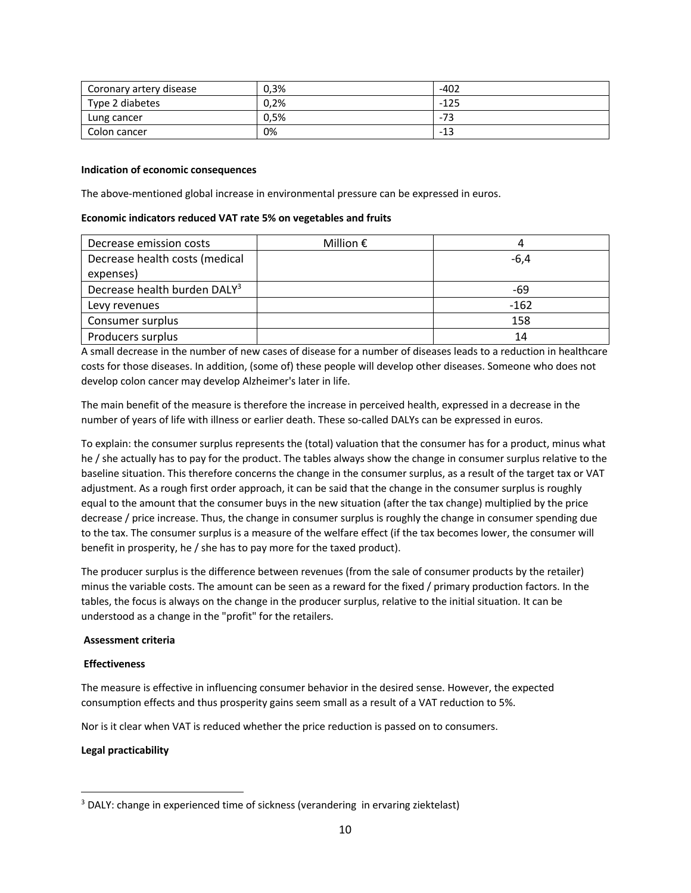| Coronary artery disease | 0,3% | $-402$ |
|-------------------------|------|--------|
| Type 2 diabetes         | 0.2% | $-125$ |
| Lung cancer             | 0.5% | -73    |
| Colon cancer            | 0%   | -13    |

#### **Indication of economic consequences**

The above-mentioned global increase in environmental pressure can be expressed in euros.

#### **Economic indicators reduced VAT rate 5% on vegetables and fruits**

| Decrease emission costs                  | Million $\epsilon$ |        |
|------------------------------------------|--------------------|--------|
| Decrease health costs (medical           |                    | $-6,4$ |
| expenses)                                |                    |        |
| Decrease health burden DALY <sup>3</sup> |                    | -69    |
| Levy revenues                            |                    | $-162$ |
| Consumer surplus                         |                    | 158    |
| Producers surplus                        |                    | 14     |

A small decrease in the number of new cases of disease for a number of diseases leads to a reduction in healthcare costs for those diseases. In addition, (some of) these people will develop other diseases. Someone who does not develop colon cancer may develop Alzheimer's later in life.

The main benefit of the measure is therefore the increase in perceived health, expressed in a decrease in the number of years of life with illness or earlier death. These so-called DALYs can be expressed in euros.

To explain: the consumer surplus represents the (total) valuation that the consumer has for a product, minus what he / she actually has to pay for the product. The tables always show the change in consumer surplus relative to the baseline situation. This therefore concerns the change in the consumer surplus, as a result of the target tax or VAT adjustment. As a rough first order approach, it can be said that the change in the consumer surplus is roughly equal to the amount that the consumer buys in the new situation (after the tax change) multiplied by the price decrease / price increase. Thus, the change in consumer surplus is roughly the change in consumer spending due to the tax. The consumer surplus is a measure of the welfare effect (if the tax becomes lower, the consumer will benefit in prosperity, he / she has to pay more for the taxed product).

The producer surplus is the difference between revenues (from the sale of consumer products by the retailer) minus the variable costs. The amount can be seen as a reward for the fixed / primary production factors. In the tables, the focus is always on the change in the producer surplus, relative to the initial situation. It can be understood as a change in the "profit" for the retailers.

## **Assessment criteria**

## **Effectiveness**

The measure is effective in influencing consumer behavior in the desired sense. However, the expected consumption effects and thus prosperity gains seem small as a result of a VAT reduction to 5%.

Nor is it clear when VAT is reduced whether the price reduction is passed on to consumers.

## **Legal practicability**

<sup>&</sup>lt;sup>3</sup> DALY: change in experienced time of sickness (verandering in ervaring ziektelast)